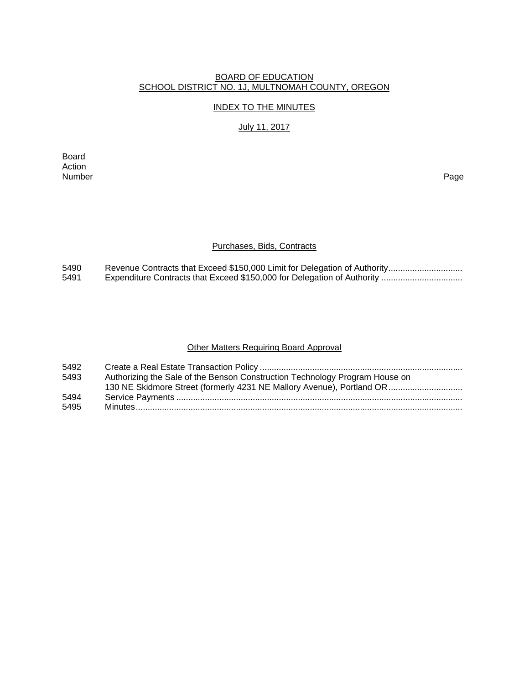## BOARD OF EDUCATION SCHOOL DISTRICT NO. 1J, MULTNOMAH COUNTY, OREGON

#### INDEX TO THE MINUTES

# July 11, 2017

Board Action<br>Number Number Page

## Purchases, Bids, Contracts

5490 Revenue Contracts that Exceed \$150,000 Limit for Delegation of Authority ...............................<br>5491 Expenditure Contracts that Exceed \$150,000 for Delegation of Authority ................................. 5491 Expenditure Contracts that Exceed \$150,000 for Delegation of Authority ..................................

## Other Matters Requiring Board Approval

| 5492 |                                                                             |
|------|-----------------------------------------------------------------------------|
| 5493 | Authorizing the Sale of the Benson Construction Technology Program House on |
|      | 130 NE Skidmore Street (formerly 4231 NE Mallory Avenue), Portland OR       |
| 5494 |                                                                             |
| 5495 |                                                                             |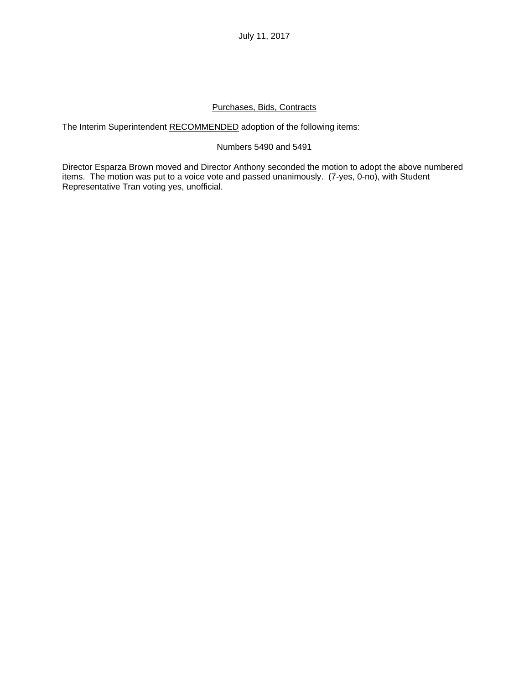## Purchases, Bids, Contracts

The Interim Superintendent RECOMMENDED adoption of the following items:

## Numbers 5490 and 5491

Director Esparza Brown moved and Director Anthony seconded the motion to adopt the above numbered items. The motion was put to a voice vote and passed unanimously. (7-yes, 0-no), with Student Representative Tran voting yes, unofficial.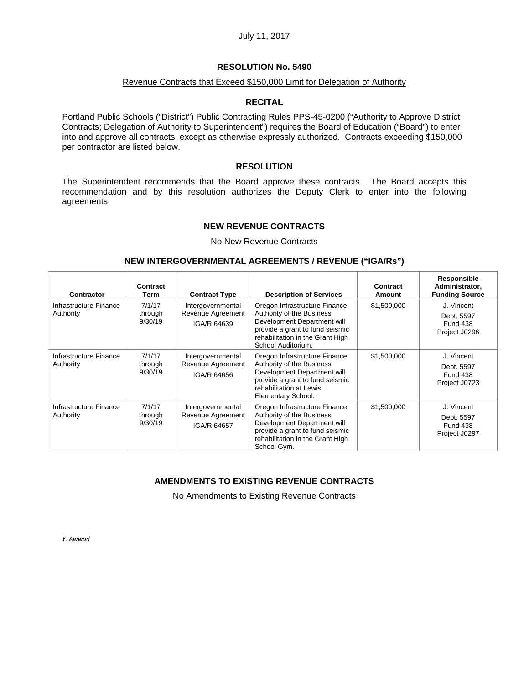### **RESOLUTION No. 5490**

#### Revenue Contracts that Exceed \$150,000 Limit for Delegation of Authority

#### **RECITAL**

Portland Public Schools ("District") Public Contracting Rules PPS-45-0200 ("Authority to Approve District Contracts; Delegation of Authority to Superintendent") requires the Board of Education ("Board") to enter into and approve all contracts, except as otherwise expressly authorized. Contracts exceeding \$150,000 per contractor are listed below.

## **RESOLUTION**

The Superintendent recommends that the Board approve these contracts. The Board accepts this recommendation and by this resolution authorizes the Deputy Clerk to enter into the following agreements.

#### **NEW REVENUE CONTRACTS**

No New Revenue Contracts

#### **NEW INTERGOVERNMENTAL AGREEMENTS / REVENUE ("IGA/Rs")**

| Contractor                          | Contract<br>Term             | <b>Contract Type</b>                                  | <b>Description of Services</b>                                                                                                                                                         | Contract<br>Amount | Responsible<br>Administrator,<br><b>Funding Source</b>       |
|-------------------------------------|------------------------------|-------------------------------------------------------|----------------------------------------------------------------------------------------------------------------------------------------------------------------------------------------|--------------------|--------------------------------------------------------------|
| Infrastructure Finance<br>Authority | 7/1/17<br>through<br>9/30/19 | Intergovernmental<br>Revenue Agreement<br>IGA/R 64639 | Oregon Infrastructure Finance<br>Authority of the Business<br>Development Department will<br>provide a grant to fund seismic<br>rehabilitation in the Grant High<br>School Auditorium. | \$1,500,000        | J. Vincent<br>Dept. 5597<br><b>Fund 438</b><br>Project J0296 |
| Infrastructure Finance<br>Authority | 7/1/17<br>through<br>9/30/19 | Intergovernmental<br>Revenue Agreement<br>IGA/R 64656 | Oregon Infrastructure Finance<br>Authority of the Business<br>Development Department will<br>provide a grant to fund seismic<br>rehabilitation at Lewis<br>Elementary School.          | \$1,500,000        | J. Vincent<br>Dept. 5597<br><b>Fund 438</b><br>Project J0723 |
| Infrastructure Finance<br>Authority | 7/1/17<br>through<br>9/30/19 | Intergovernmental<br>Revenue Agreement<br>IGA/R 64657 | Oregon Infrastructure Finance<br>Authority of the Business<br>Development Department will<br>provide a grant to fund seismic<br>rehabilitation in the Grant High<br>School Gym.        | \$1,500,000        | J. Vincent<br>Dept. 5597<br><b>Fund 438</b><br>Project J0297 |

# **AMENDMENTS TO EXISTING REVENUE CONTRACTS**

No Amendments to Existing Revenue Contracts

*Y. Awwad*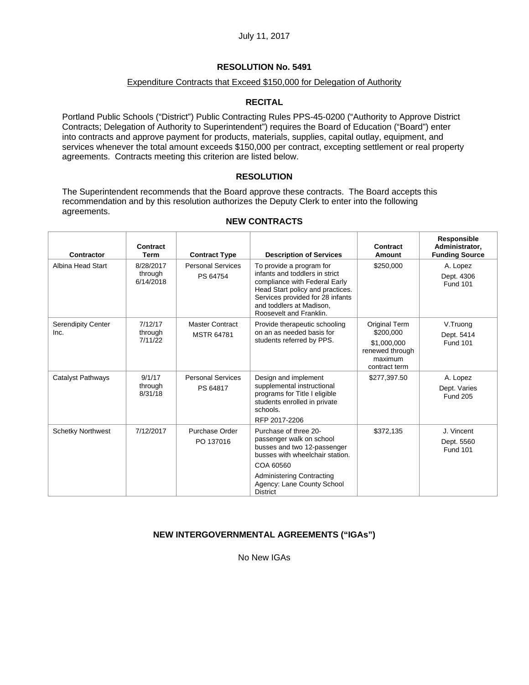## Expenditure Contracts that Exceed \$150,000 for Delegation of Authority

## **RECITAL**

Portland Public Schools ("District") Public Contracting Rules PPS-45-0200 ("Authority to Approve District Contracts; Delegation of Authority to Superintendent") requires the Board of Education ("Board") enter into contracts and approve payment for products, materials, supplies, capital outlay, equipment, and services whenever the total amount exceeds \$150,000 per contract, excepting settlement or real property agreements. Contracts meeting this criterion are listed below.

## **RESOLUTION**

The Superintendent recommends that the Board approve these contracts. The Board accepts this recommendation and by this resolution authorizes the Deputy Clerk to enter into the following agreements.

| <b>Contractor</b>          | Contract<br>Term                  | <b>Contract Type</b>                 | <b>Description of Services</b>                                                                                                                                                                                             | Contract<br><b>Amount</b>                                                                | Responsible<br>Administrator,<br><b>Funding Source</b> |
|----------------------------|-----------------------------------|--------------------------------------|----------------------------------------------------------------------------------------------------------------------------------------------------------------------------------------------------------------------------|------------------------------------------------------------------------------------------|--------------------------------------------------------|
| Albina Head Start          | 8/28/2017<br>through<br>6/14/2018 | <b>Personal Services</b><br>PS 64754 | To provide a program for<br>infants and toddlers in strict<br>compliance with Federal Early<br>Head Start policy and practices.<br>Services provided for 28 infants<br>and toddlers at Madison,<br>Roosevelt and Franklin. | \$250,000                                                                                | A. Lopez<br>Dept. 4306<br><b>Fund 101</b>              |
| Serendipity Center<br>Inc. | 7/12/17<br>through<br>7/11/22     | Master Contract<br><b>MSTR 64781</b> | Provide therapeutic schooling<br>on an as needed basis for<br>students referred by PPS.                                                                                                                                    | Original Term<br>\$200,000<br>\$1,000,000<br>renewed through<br>maximum<br>contract term | V.Truong<br>Dept. 5414<br><b>Fund 101</b>              |
| Catalyst Pathways          | 9/1/17<br>through<br>8/31/18      | <b>Personal Services</b><br>PS 64817 | Design and implement<br>supplemental instructional<br>programs for Title I eligible<br>students enrolled in private<br>schools.<br>RFP 2017-2206                                                                           | \$277,397.50                                                                             | A. Lopez<br>Dept. Varies<br><b>Fund 205</b>            |
| <b>Schetky Northwest</b>   | 7/12/2017                         | Purchase Order<br>PO 137016          | Purchase of three 20-<br>passenger walk on school<br>busses and two 12-passenger<br>busses with wheelchair station.<br>COA 60560                                                                                           | \$372,135                                                                                | J. Vincent<br>Dept. 5560<br><b>Fund 101</b>            |
|                            |                                   |                                      | <b>Administering Contracting</b><br>Agency: Lane County School<br><b>District</b>                                                                                                                                          |                                                                                          |                                                        |

#### **NEW CONTRACTS**

## **NEW INTERGOVERNMENTAL AGREEMENTS ("IGAs")**

No New IGAs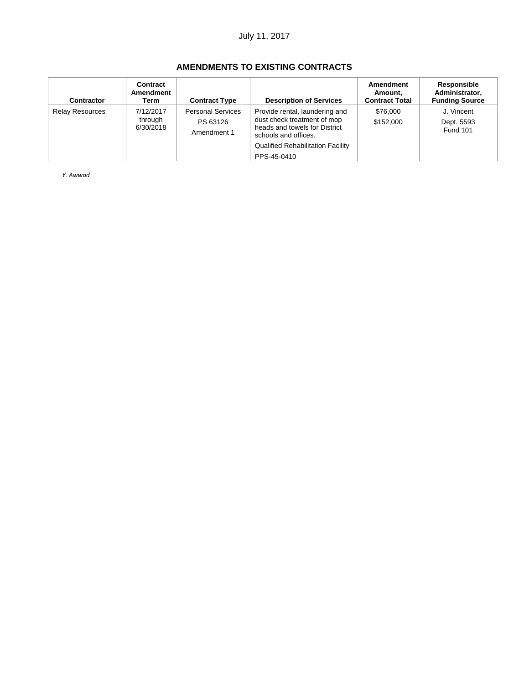# **AMENDMENTS TO EXISTING CONTRACTS**

| Contractor             | Contract<br>Amendment<br>Term     | <b>Contract Type</b>                                | <b>Description of Services</b>                                                                                         | Amendment<br>Amount,<br><b>Contract Total</b> | Responsible<br>Administrator,<br><b>Funding Source</b> |
|------------------------|-----------------------------------|-----------------------------------------------------|------------------------------------------------------------------------------------------------------------------------|-----------------------------------------------|--------------------------------------------------------|
| <b>Relay Resources</b> | 7/12/2017<br>through<br>6/30/2018 | <b>Personal Services</b><br>PS 63126<br>Amendment 1 | Provide rental, laundering and<br>dust check treatment of mop<br>heads and towels for District<br>schools and offices. | \$76,000<br>\$152,000                         | J. Vincent<br>Dept. 5593<br><b>Fund 101</b>            |
|                        |                                   |                                                     | <b>Qualified Rehabilitation Facility</b><br>PPS-45-0410                                                                |                                               |                                                        |

*Y. Awwad*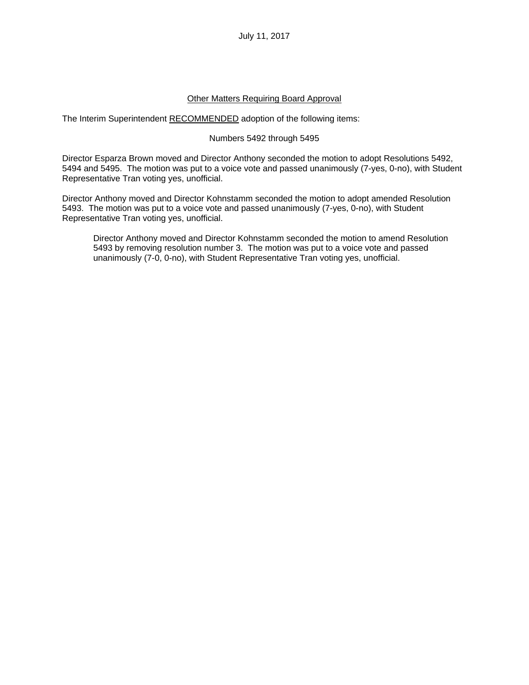## Other Matters Requiring Board Approval

The Interim Superintendent RECOMMENDED adoption of the following items:

## Numbers 5492 through 5495

Director Esparza Brown moved and Director Anthony seconded the motion to adopt Resolutions 5492, 5494 and 5495. The motion was put to a voice vote and passed unanimously (7-yes, 0-no), with Student Representative Tran voting yes, unofficial.

Director Anthony moved and Director Kohnstamm seconded the motion to adopt amended Resolution 5493. The motion was put to a voice vote and passed unanimously (7-yes, 0-no), with Student Representative Tran voting yes, unofficial.

Director Anthony moved and Director Kohnstamm seconded the motion to amend Resolution 5493 by removing resolution number 3. The motion was put to a voice vote and passed unanimously (7-0, 0-no), with Student Representative Tran voting yes, unofficial.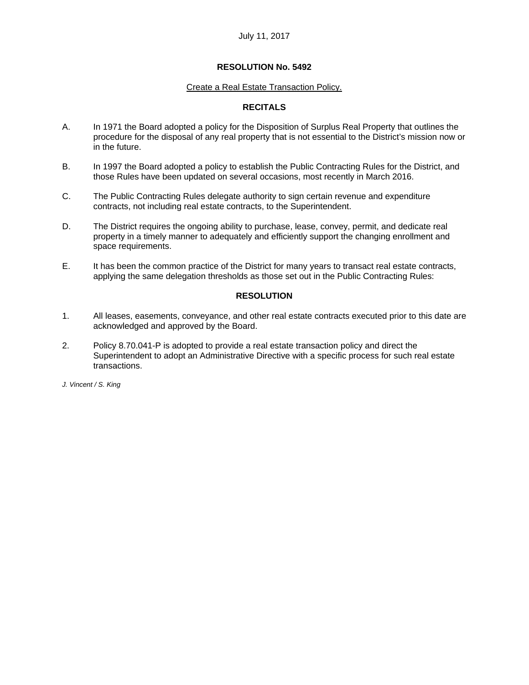#### Create a Real Estate Transaction Policy.

## **RECITALS**

- A. In 1971 the Board adopted a policy for the Disposition of Surplus Real Property that outlines the procedure for the disposal of any real property that is not essential to the District's mission now or in the future.
- B. In 1997 the Board adopted a policy to establish the Public Contracting Rules for the District, and those Rules have been updated on several occasions, most recently in March 2016.
- C. The Public Contracting Rules delegate authority to sign certain revenue and expenditure contracts, not including real estate contracts, to the Superintendent.
- D. The District requires the ongoing ability to purchase, lease, convey, permit, and dedicate real property in a timely manner to adequately and efficiently support the changing enrollment and space requirements.
- E. It has been the common practice of the District for many years to transact real estate contracts, applying the same delegation thresholds as those set out in the Public Contracting Rules:

#### **RESOLUTION**

- 1. All leases, easements, conveyance, and other real estate contracts executed prior to this date are acknowledged and approved by the Board.
- 2. Policy 8.70.041-P is adopted to provide a real estate transaction policy and direct the Superintendent to adopt an Administrative Directive with a specific process for such real estate transactions.

*J. Vincent / S. King*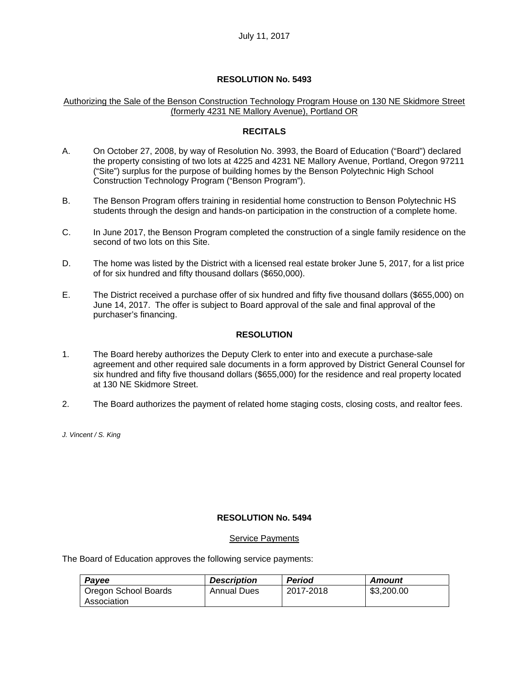#### Authorizing the Sale of the Benson Construction Technology Program House on 130 NE Skidmore Street (formerly 4231 NE Mallory Avenue), Portland OR

## **RECITALS**

- A. On October 27, 2008, by way of Resolution No. 3993, the Board of Education ("Board") declared the property consisting of two lots at 4225 and 4231 NE Mallory Avenue, Portland, Oregon 97211 ("Site") surplus for the purpose of building homes by the Benson Polytechnic High School Construction Technology Program ("Benson Program").
- B. The Benson Program offers training in residential home construction to Benson Polytechnic HS students through the design and hands-on participation in the construction of a complete home.
- C. In June 2017, the Benson Program completed the construction of a single family residence on the second of two lots on this Site.
- D. The home was listed by the District with a licensed real estate broker June 5, 2017, for a list price of for six hundred and fifty thousand dollars (\$650,000).
- E. The District received a purchase offer of six hundred and fifty five thousand dollars (\$655,000) on June 14, 2017. The offer is subject to Board approval of the sale and final approval of the purchaser's financing.

## **RESOLUTION**

- 1. The Board hereby authorizes the Deputy Clerk to enter into and execute a purchase-sale agreement and other required sale documents in a form approved by District General Counsel for six hundred and fifty five thousand dollars (\$655,000) for the residence and real property located at 130 NE Skidmore Street.
- 2. The Board authorizes the payment of related home staging costs, closing costs, and realtor fees.

*J. Vincent / S. King* 

#### **RESOLUTION No. 5494**

#### Service Payments

The Board of Education approves the following service payments:

| Payee                | <b>Description</b> | <b>Period</b> | Amount     |
|----------------------|--------------------|---------------|------------|
| Oregon School Boards | Annual Dues        | 2017-2018     | \$3,200.00 |
| Association          |                    |               |            |